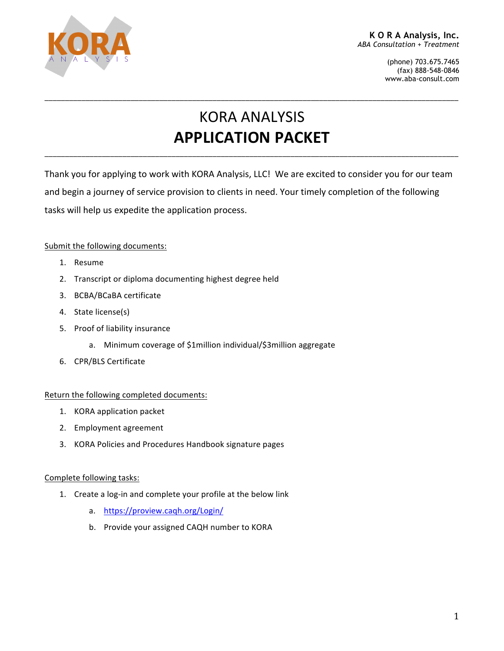

(phone) 703.675.7465 (fax) 888-548-0846 www.aba-consult.com

# **KORA ANALYSIS APPLICATION PACKET**

\_\_\_\_\_\_\_\_\_\_\_\_\_\_\_\_\_\_\_\_\_\_\_\_\_\_\_\_\_\_\_\_\_\_\_\_\_\_\_\_\_\_\_\_\_\_\_\_\_\_\_\_\_\_\_\_\_\_\_\_\_\_\_\_\_\_\_\_\_\_\_\_\_\_\_\_\_\_\_\_\_\_\_\_\_\_\_\_\_\_\_\_\_\_\_\_\_\_\_\_\_

\_\_\_\_\_\_\_\_\_\_\_\_\_\_\_\_\_\_\_\_\_\_\_\_\_\_\_\_\_\_\_\_\_\_\_\_\_\_\_\_\_\_\_\_\_\_\_\_\_\_\_\_\_\_\_\_\_\_\_\_\_\_\_\_\_\_\_\_\_\_\_\_\_\_\_\_\_\_\_\_\_\_\_\_\_\_\_\_\_\_\_\_\_\_\_\_\_\_\_\_\_

Thank you for applying to work with KORA Analysis, LLC! We are excited to consider you for our team and begin a journey of service provision to clients in need. Your timely completion of the following tasks will help us expedite the application process.

#### Submit the following documents:

- 1. Resume
- 2. Transcript or diploma documenting highest degree held
- 3. BCBA/BCaBA certificate
- 4. State license(s)
- 5. Proof of liability insurance
	- a. Minimum coverage of \$1million individual/\$3million aggregate
- 6. CPR/BLS Certificate

#### Return the following completed documents:

- 1. KORA application packet
- 2. Employment agreement
- 3. KORA Policies and Procedures Handbook signature pages

#### Complete following tasks:

- 1. Create a log-in and complete your profile at the below link
	- a. https://proview.caqh.org/Login/
	- b. Provide your assigned CAQH number to KORA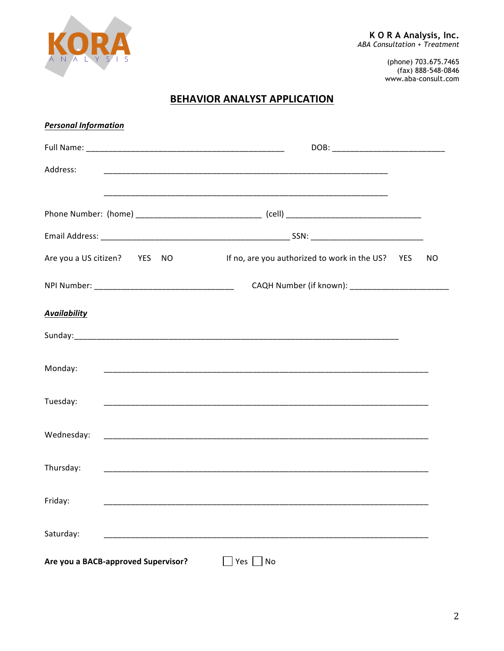

(phone) 703.675.7465<br>(fax) 888-548-0846 www.aba-consult.com

## **BEHAVIOR ANALYST APPLICATION**

| <b>Personal Information</b>         |                                                                                                                       |     |    |  |
|-------------------------------------|-----------------------------------------------------------------------------------------------------------------------|-----|----|--|
|                                     |                                                                                                                       |     |    |  |
| Address:                            |                                                                                                                       |     |    |  |
|                                     | <u> 1989 - Johann Harry Harry Harry Harry Harry Harry Harry Harry Harry Harry Harry Harry Harry Harry Harry Harry</u> |     |    |  |
|                                     |                                                                                                                       |     |    |  |
|                                     |                                                                                                                       |     |    |  |
| Are you a US citizen? YES<br>NO.    | If no, are you authorized to work in the US?                                                                          | YES | NO |  |
|                                     |                                                                                                                       |     |    |  |
| <b>Availability</b>                 |                                                                                                                       |     |    |  |
|                                     |                                                                                                                       |     |    |  |
| Monday:                             |                                                                                                                       |     |    |  |
| Tuesday:                            |                                                                                                                       |     |    |  |
|                                     |                                                                                                                       |     |    |  |
| Wednesday:                          |                                                                                                                       |     |    |  |
| Thursday:                           | <u> 1989 - Johann Stoff, amerikansk politiker (d. 1989)</u>                                                           |     |    |  |
| Friday:                             |                                                                                                                       |     |    |  |
| Saturday:                           |                                                                                                                       |     |    |  |
| Are you a BACB-approved Supervisor? | Yes  <br>No                                                                                                           |     |    |  |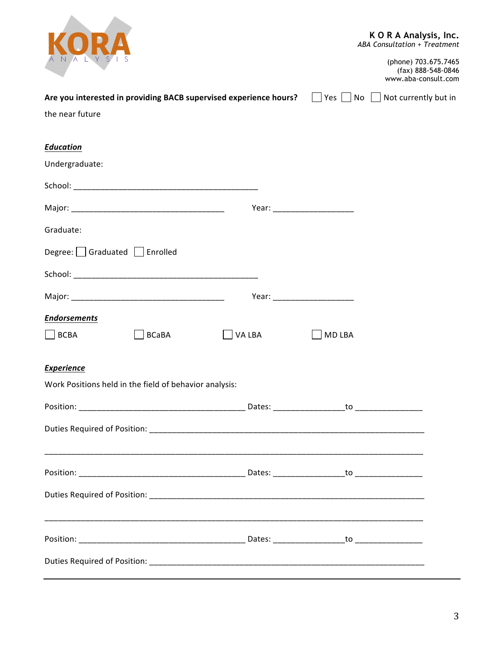| Are you interested in providing BACB supervised experience hours?                                                                                                                                                              |                              | KORA Analysis, Inc.<br>ABA Consultation + Treatment<br>(phone) 703.675.7465<br>(fax) 888-548-0846<br>www.aba-consult.com<br>Yes $\Box$ No $\Box$ Not currently but in |
|--------------------------------------------------------------------------------------------------------------------------------------------------------------------------------------------------------------------------------|------------------------------|-----------------------------------------------------------------------------------------------------------------------------------------------------------------------|
| the near future                                                                                                                                                                                                                |                              |                                                                                                                                                                       |
|                                                                                                                                                                                                                                |                              |                                                                                                                                                                       |
| <b>Education</b>                                                                                                                                                                                                               |                              |                                                                                                                                                                       |
| Undergraduate:                                                                                                                                                                                                                 |                              |                                                                                                                                                                       |
| School: Experience of the state of the state of the state of the state of the state of the state of the state of the state of the state of the state of the state of the state of the state of the state of the state of the s |                              |                                                                                                                                                                       |
|                                                                                                                                                                                                                                | Year: ______________________ |                                                                                                                                                                       |
| Graduate:                                                                                                                                                                                                                      |                              |                                                                                                                                                                       |
| Degree:   Graduated   Enrolled                                                                                                                                                                                                 |                              |                                                                                                                                                                       |
|                                                                                                                                                                                                                                |                              |                                                                                                                                                                       |
|                                                                                                                                                                                                                                | Year: _____________________  |                                                                                                                                                                       |
| <b>Endorsements</b>                                                                                                                                                                                                            |                              |                                                                                                                                                                       |
| <b>BCBA</b><br><b>BCaBA</b><br>VA LBA                                                                                                                                                                                          | <b>MD LBA</b>                |                                                                                                                                                                       |
| <b>Experience</b>                                                                                                                                                                                                              |                              |                                                                                                                                                                       |
| Work Positions held in the field of behavior analysis:                                                                                                                                                                         |                              |                                                                                                                                                                       |
|                                                                                                                                                                                                                                |                              |                                                                                                                                                                       |
|                                                                                                                                                                                                                                |                              |                                                                                                                                                                       |
|                                                                                                                                                                                                                                |                              |                                                                                                                                                                       |
|                                                                                                                                                                                                                                |                              |                                                                                                                                                                       |
|                                                                                                                                                                                                                                |                              |                                                                                                                                                                       |
|                                                                                                                                                                                                                                |                              |                                                                                                                                                                       |
|                                                                                                                                                                                                                                |                              |                                                                                                                                                                       |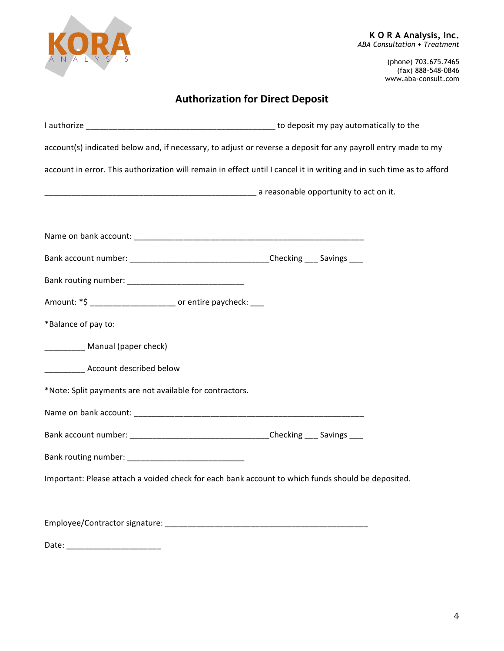

(phone) 703.675.7465 (fax) 888-548-0846 www.aba-consult.com

# **Authorization for Direct Deposit**

| account(s) indicated below and, if necessary, to adjust or reverse a deposit for any payroll entry made to my         |  |  |  |
|-----------------------------------------------------------------------------------------------------------------------|--|--|--|
| account in error. This authorization will remain in effect until I cancel it in writing and in such time as to afford |  |  |  |
|                                                                                                                       |  |  |  |
|                                                                                                                       |  |  |  |
|                                                                                                                       |  |  |  |
| Bank account number: __________________________________Checking ____ Savings ___                                      |  |  |  |
|                                                                                                                       |  |  |  |
| Amount: *\$ __________________________ or entire paycheck: ___                                                        |  |  |  |
| *Balance of pay to:                                                                                                   |  |  |  |
| __________ Manual (paper check)                                                                                       |  |  |  |
| _____________ Account described below                                                                                 |  |  |  |
| *Note: Split payments are not available for contractors.                                                              |  |  |  |
|                                                                                                                       |  |  |  |
|                                                                                                                       |  |  |  |
|                                                                                                                       |  |  |  |
| Important: Please attach a voided check for each bank account to which funds should be deposited.                     |  |  |  |
|                                                                                                                       |  |  |  |
|                                                                                                                       |  |  |  |

Date: \_\_\_\_\_\_\_\_\_\_\_\_\_\_\_\_\_\_\_\_\_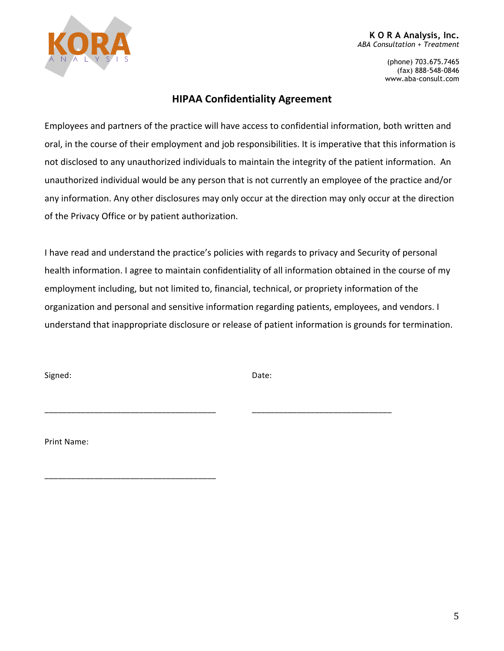

#### **K O R A Analysis, Inc.** *ABA Consultation + Treatment*

(phone) 703.675.7465 (fax) 888-548-0846 www.aba-consult.com

### **HIPAA Confidentiality Agreement**

Employees and partners of the practice will have access to confidential information, both written and oral, in the course of their employment and job responsibilities. It is imperative that this information is not disclosed to any unauthorized individuals to maintain the integrity of the patient information. An unauthorized individual would be any person that is not currently an employee of the practice and/or any information. Any other disclosures may only occur at the direction may only occur at the direction of the Privacy Office or by patient authorization.

I have read and understand the practice's policies with regards to privacy and Security of personal health information. I agree to maintain confidentiality of all information obtained in the course of my employment including, but not limited to, financial, technical, or propriety information of the organization and personal and sensitive information regarding patients, employees, and vendors. I understand that inappropriate disclosure or release of patient information is grounds for termination.

Signed: Date:

\_\_\_\_\_\_\_\_\_\_\_\_\_\_\_\_\_\_\_\_\_\_\_\_\_\_\_\_\_\_\_\_\_\_\_\_\_\_ \_\_\_\_\_\_\_\_\_\_\_\_\_\_\_\_\_\_\_\_\_\_\_\_\_\_\_\_\_\_\_

Print Name:

\_\_\_\_\_\_\_\_\_\_\_\_\_\_\_\_\_\_\_\_\_\_\_\_\_\_\_\_\_\_\_\_\_\_\_\_\_\_